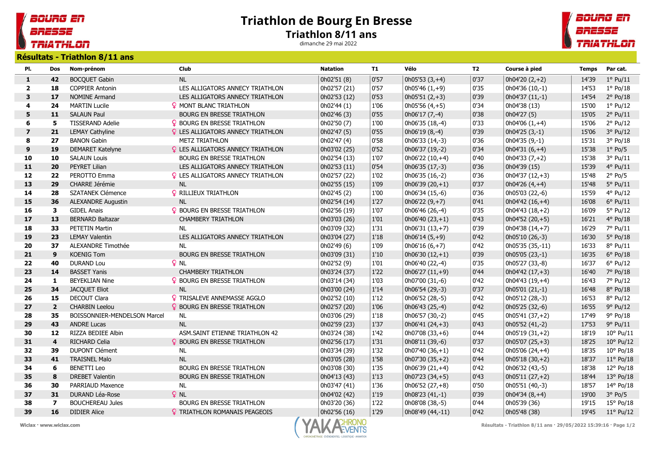## Triathlon de Bourg En Bresse Triathlon 8/11 ans

dimanche 29 mai 2022



Résultats - Triathlon 8/11 ans

BOURG EN

**TRIATHLON** 

BRESSE

| PI.                     | Dos            | Nom-prénom                   | <b>Club</b>                              | <b>Natation</b> | <b>T1</b> | Vélo              | <b>T2</b> | Course à pied    | <b>Temps</b> | Par cat.           |
|-------------------------|----------------|------------------------------|------------------------------------------|-----------------|-----------|-------------------|-----------|------------------|--------------|--------------------|
| $\mathbf{1}$            | 42             | <b>BOCQUET Gabin</b>         | <b>NL</b>                                | 0h02'51 (8)     | 0'57      | $0h05'53(3,+4)$   | 0'37      | $0h04'20(2,+2)$  | 14'39        | $1^{\circ}$ Pu/11  |
| $\overline{2}$          | 18             | <b>COPPIER Antonin</b>       | LES ALLIGATORS ANNECY TRIATHLON          | 0h02'57 (21)    | 0'57      | $0h05'46(1,+9)$   | 0'35      | 0h04'36 (10,-1)  | 14'53        | $1^{\circ}$ Po/18  |
| 3                       | 17             | <b>NOMINE Armand</b>         | LES ALLIGATORS ANNECY TRIATHLON          | 0h02'53 (12)    | 0'53      | $0h05'51(2,+3)$   | 0'39      | $0h04'37(11,-1)$ | 14'54        | $2°$ Po/18         |
| 4                       | 24             | <b>MARTIN Lucile</b>         | <b>Q MONT BLANC TRIATHLON</b>            | 0h02'44 (1)     | 1'06      | $0h05'56(4,+5)$   | 0'34      | 0h04'38 (13)     | 15'00        | $1^{\circ}$ Pu/12  |
| 5                       | 11             | <b>SALAUN Paul</b>           | BOURG EN BRESSE TRIATHLON                | 0h02'46 (3)     | 0'55      | 0h06'17 (7,-4)    | 0'38      | 0h04'27 (5)      | 15'05        | $2°$ Pu/11         |
| 6                       | 5              | <b>TISSERAND Adelie</b>      | P BOURG EN BRESSE TRIATHLON              | 0h02'50 (7)     | 1'00      | 0h06'35 (18,-4)   | 0'33      | $0h04'06(1,+4)$  | 15'06        | 2° Pu/12           |
| $\overline{\mathbf{z}}$ | 21             | <b>LEMAY Cathyline</b>       | <b>Q</b> LES ALLIGATORS ANNECY TRIATHLON | 0h02'47 (5)     | 0'55      | 0h06'19 (8,-4)    | 0'39      | $0h04'25(3,-1)$  | 15'06        | 3° Pu/12           |
| 8                       | 27             | <b>BANON Gabin</b>           | <b>METZ TRIATHLON</b>                    | 0h02'47 (4)     | 0'58      | 0h06'33 (14,-3)   | 0'36      | 0h04'35 (9,-1)   | 15'31        | 3° Po/18           |
| 9                       | 19             | <b>DEMARET Katelyne</b>      | <b>Q</b> LES ALLIGATORS ANNECY TRIATHLON | 0h03'02 (25)    | 0'52      | 0h06'37 (19,-2)   | 0'34      | $0h04'31(6,+4)$  | 15'38        | $1°$ Po/5          |
| 10                      | 10             | <b>SALAUN Louis</b>          | <b>BOURG EN BRESSE TRIATHLON</b>         | 0h02'54 (13)    | 1'07      | $0h06'22(10,+4)$  | 0'40      | $0h04'33(7,+2)$  | 15'38        | 3° Pu/11           |
| 11                      | 20             | PEYRET Lilian                | LES ALLIGATORS ANNECY TRIATHLON          | 0h02'53 (11)    | 0'54      | 0h06'35 (17,-3)   | 0'36      | 0h04'39 (15)     | 15'39        | 4° Pu/11           |
| 12                      | 22             | PEROTTO Emma                 | <b>Q</b> LES ALLIGATORS ANNECY TRIATHLON | 0h02'57 (22)    | 1'02      | 0h06'35 (16,-2)   | 0'36      | $0h04'37(12,+3)$ | 15'48        | $2°$ Po/5          |
| 13                      | 29             | CHARRE Jérémie               | NL                                       | 0h02'55 (15)    | 1'09      | $0h06'39(20,+1)$  | 0'37      | $0h04'26(4,+4)$  | 15'48        | 5° Pu/11           |
| 14                      | 28             | SZATANEK Clémence            | <b>Q</b> RILLIEUX TRIATHLON              | 0h02'45 (2)     | 1'00      | 0h06'34 (15,-6)   | 0'36      | 0h05'03 (22,-6)  | 15'59        | 4° Pu/12           |
| 15                      | 36             | <b>ALEXANDRE Augustin</b>    | <b>NL</b>                                | 0h02'54 (14)    | 1'27      | $0h06'22(9,+7)$   | 0'41      | $0h04'42(16,+4)$ | 16'08        | $6^{\circ}$ Pu/11  |
| 16                      | 3              | <b>GIDEL Anais</b>           | <b>Q</b> BOURG EN BRESSE TRIATHLON       | 0h02'56 (19)    | 1'07      | 0h06'46 (26,-4)   | 0'35      | $0h04'43(18,+2)$ | 16'09        | 5° Pu/12           |
| 17                      | 13             | <b>BERNARD Baltazar</b>      | <b>CHAMBERY TRIATHLON</b>                | 0h03'03 (26)    | 1'01      | $0h06'40(23,+1)$  | 0'43      | $0h04'52(20,+5)$ | 16'21        | $4^{\circ}$ Po/18  |
| 18                      | 33             | <b>PETETIN Martin</b>        | <b>NL</b>                                | 0h03'09 (32)    | 1'31      | $0h06'31(13,+7)$  | 0'39      | $0h04'38(14,+7)$ | 16'29        | 7° Pu/11           |
| 19                      | 23             | <b>LEMAY Valentin</b>        | LES ALLIGATORS ANNECY TRIATHLON          | 0h03'04 (27)    | $1'18$    | $0h06'14(5,+9)$   | 0'42      | 0h05'10 (26,-3)  | 16'30        | 5° Po/18           |
| 20                      | 37             | ALEXANDRE Timothée           | <b>NL</b>                                | 0h02'49 (6)     | 1'09      | $0h06'16(6,+7)$   | 0'42      | 0h05'35 (35,-11) | 16'33        | 8° Pu/11           |
| 21                      | 9              | <b>KOENIG Tom</b>            | <b>BOURG EN BRESSE TRIATHLON</b>         | 0h03'09 (31)    | 1'10      | 0h06'30 $(12,+1)$ | 0'39      | 0h05'05 (23,-1)  | 16'35        | $6°$ Po/18         |
| 22                      | 40             | <b>DURAND Lou</b>            | $Q$ NL                                   | 0h02'52 (9)     | 1'01      | 0h06'40 (22,-4)   | 0'35      | 0h05'27 (33,-8)  | 16'37        | $6°$ Pu/12         |
| 23                      | 14             | <b>BASSET Yanis</b>          | <b>CHAMBERY TRIATHLON</b>                | 0h03'24 (37)    | $1'22$    | $0h06'27(11,+9)$  | 0'44      | $0h04'42(17,+3)$ | 16'40        | 7° Po/18           |
| 24                      | $\mathbf{1}$   | <b>BEYEKLIAN Nine</b>        | <b>P</b> BOURG EN BRESSE TRIATHLON       | 0h03'14 (34)    | 1'03      | 0h07'00 (31,-6)   | 0'42      | $0h04'43(19,+4)$ | 16'43        | 7° Pu/12           |
| 25                      | 34             | <b>JACQUET Eliot</b>         | <b>NL</b>                                | 0h03'00 (24)    | 1'14      | 0h06'54 (29,-3)   | 0'37      | 0h05'01 (21,-1)  | 16'48        | 8° Po/18           |
| 26                      | 15             | <b>DECOUT Clara</b>          | <b>?</b> TRISALEVE ANNEMASSE AGGLO       | 0h02'52 (10)    | 1'12      | 0h06'52 (28,-5)   | 0'42      | 0h05'12 (28,-3)  | 16'53        | 8° Pu/12           |
| 27                      | $\overline{2}$ | <b>CHARBIN Leelou</b>        | <b>Q</b> BOURG EN BRESSE TRIATHLON       | 0h02'57 (20)    | 1'06      | 0h06'43 (25,-4)   | 0'42      | 0h05'25 (32,-6)  | 16'55        | $9°$ Pu/12         |
| 28                      | 35             | BOISSONNIER-MENDELSON Marcel | <b>NL</b>                                | 0h03'06 (29)    | 1'18      | 0h06'57 (30,-2)   | 0'45      | $0h05'41(37,+2)$ | 17'49        | 9° Po/18           |
| 29                      | 43             | <b>ANDRE Lucas</b>           | <b>NL</b>                                | 0h02'59 (23)    | 1'37      | $0h06'41(24,+3)$  | 0'43      | 0h05'52 (41,-2)  | 17'53        | 9° Pu/11           |
| 30                      | 12             | RIZZA BEDIEE Albin           | ASM.SAINT ETIENNE TRIATHLON 42           | 0h03'24 (38)    | 1'42      | $0h07'08(33,+6)$  | 0'44      | $0h05'19(31,+2)$ | 18'19        | $10^{\circ}$ Pu/11 |
| 31                      | $\overline{4}$ | <b>RICHARD Celia</b>         | <b>Q</b> BOURG EN BRESSE TRIATHLON       | 0h02'56 (17)    | 1'31      | 0h08'11 (39,-6)   | 0'37      | $0h05'07(25,+3)$ | 18'25        | $10^{\circ}$ Pu/12 |
| 32                      | 39             | <b>DUPONT Clément</b>        | NL                                       | 0h03'34 (39)    | 1'32      | $0h07'40(36,+1)$  | 0'42      | $0h05'06(24,+4)$ | 18'35        | $10^{\circ}$ Po/18 |
| 33                      | 41             | <b>TRAISNEL Malo</b>         | <b>NL</b>                                | 0h03'05 (28)    | 1'58      | $0h07'30(35,+2)$  | 0'44      | $0h05'18(30,+2)$ | 18'37        | $11^{\circ}$ Po/18 |
| 34                      | 6              | <b>BENETTI Leo</b>           | BOURG EN BRESSE TRIATHLON                | 0h03'08 (30)    | 1'35      | $0h06'39(21,+4)$  | 0'42      | 0h06'32 (43,-5)  | 18'38        | 12° Po/18          |
| 35                      | $\bf8$         | <b>DREBET Valentin</b>       | BOURG EN BRESSE TRIATHLON                | 0h04'13 (43)    | 1'13      | $0h07'23(34,+5)$  | 0'43      | $0h05'11(27,+2)$ | 18'44        | 13° Po/18          |
| 36                      | 30             | PARRIAUD Maxence             | <b>NL</b>                                | 0h03'47 (41)    | 1'36      | $0h06'52(27,+8)$  | 0'50      | 0h05'51 (40,-3)  | 18'57        | 14° Po/18          |
| 37                      | 31             | <b>DURAND Léa-Rose</b>       | $Q$ NL                                   | 0h04'02 (42)    | 1'19      | 0h08'23 (41,-1)   | 0'39      | $0h04'34(8,+4)$  | 19'00        | $3°$ Po/5          |
| 38                      | $\overline{7}$ | <b>BOUCHEREAU Jules</b>      | <b>BOURG EN BRESSE TRIATHLON</b>         | 0h03'20 (36)    | 1'22      | 0h08'08 (38,-5)   | 0'44      | 0h05'39 (36)     | 19'15        | 15° Po/18          |
| 39                      | 16             | <b>DIDIER Alice</b>          | <b>Q</b> TRIATHLON ROMANAIS PEAGEOIS     | Oh02'56 (16)    | 1'29      | 0h08'49 (44,-11)  | 0'42      | 0h05'48 (38)     | 19'45        | $11^{\circ}$ Pu/12 |



Wiclax · www.wiclax.com **Wiclax · www.wiclax.com** Résultats - Triathlon 8/11 ans · 29/05/2022 15:39:16 · Page 1/2